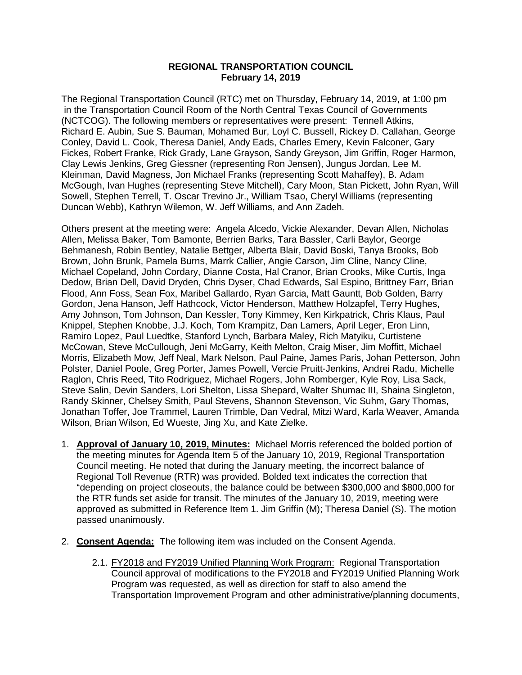## **REGIONAL TRANSPORTATION COUNCIL February 14, 2019**

The Regional Transportation Council (RTC) met on Thursday, February 14, 2019, at 1:00 pm in the Transportation Council Room of the North Central Texas Council of Governments (NCTCOG). The following members or representatives were present: Tennell Atkins, Richard E. Aubin, Sue S. Bauman, Mohamed Bur, Loyl C. Bussell, Rickey D. Callahan, George Conley, David L. Cook, Theresa Daniel, Andy Eads, Charles Emery, Kevin Falconer, Gary Fickes, Robert Franke, Rick Grady, Lane Grayson, Sandy Greyson, Jim Griffin, Roger Harmon, Clay Lewis Jenkins, Greg Giessner (representing Ron Jensen), Jungus Jordan, Lee M. Kleinman, David Magness, Jon Michael Franks (representing Scott Mahaffey), B. Adam McGough, Ivan Hughes (representing Steve Mitchell), Cary Moon, Stan Pickett, John Ryan, Will Sowell, Stephen Terrell, T. Oscar Trevino Jr., William Tsao, Cheryl Williams (representing Duncan Webb), Kathryn Wilemon, W. Jeff Williams, and Ann Zadeh.

Others present at the meeting were: Angela Alcedo, Vickie Alexander, Devan Allen, Nicholas Allen, Melissa Baker, Tom Bamonte, Berrien Barks, Tara Bassler, Carli Baylor, George Behmanesh, Robin Bentley, Natalie Bettger, Alberta Blair, David Boski, Tanya Brooks, Bob Brown, John Brunk, Pamela Burns, Marrk Callier, Angie Carson, Jim Cline, Nancy Cline, Michael Copeland, John Cordary, Dianne Costa, Hal Cranor, Brian Crooks, Mike Curtis, Inga Dedow, Brian Dell, David Dryden, Chris Dyser, Chad Edwards, Sal Espino, Brittney Farr, Brian Flood, Ann Foss, Sean Fox, Maribel Gallardo, Ryan Garcia, Matt Gauntt, Bob Golden, Barry Gordon, Jena Hanson, Jeff Hathcock, Victor Henderson, Matthew Holzapfel, Terry Hughes, Amy Johnson, Tom Johnson, Dan Kessler, Tony Kimmey, Ken Kirkpatrick, Chris Klaus, Paul Knippel, Stephen Knobbe, J.J. Koch, Tom Krampitz, Dan Lamers, April Leger, Eron Linn, Ramiro Lopez, Paul Luedtke, Stanford Lynch, Barbara Maley, Rich Matyiku, Curtistene McCowan, Steve McCullough, Jeni McGarry, Keith Melton, Craig Miser, Jim Moffitt, Michael Morris, Elizabeth Mow, Jeff Neal, Mark Nelson, Paul Paine, James Paris, Johan Petterson, John Polster, Daniel Poole, Greg Porter, James Powell, Vercie Pruitt-Jenkins, Andrei Radu, Michelle Raglon, Chris Reed, Tito Rodriguez, Michael Rogers, John Romberger, Kyle Roy, Lisa Sack, Steve Salin, Devin Sanders, Lori Shelton, Lissa Shepard, Walter Shumac III, Shaina Singleton, Randy Skinner, Chelsey Smith, Paul Stevens, Shannon Stevenson, Vic Suhm, Gary Thomas, Jonathan Toffer, Joe Trammel, Lauren Trimble, Dan Vedral, Mitzi Ward, Karla Weaver, Amanda Wilson, Brian Wilson, Ed Wueste, Jing Xu, and Kate Zielke.

- 1. **Approval of January 10, 2019, Minutes:** Michael Morris referenced the bolded portion of the meeting minutes for Agenda Item 5 of the January 10, 2019, Regional Transportation Council meeting. He noted that during the January meeting, the incorrect balance of Regional Toll Revenue (RTR) was provided. Bolded text indicates the correction that "depending on project closeouts, the balance could be between \$300,000 and \$800,000 for the RTR funds set aside for transit. The minutes of the January 10, 2019, meeting were approved as submitted in Reference Item 1. Jim Griffin (M); Theresa Daniel (S). The motion passed unanimously.
- 2. **Consent Agenda:** The following item was included on the Consent Agenda.
	- 2.1. FY2018 and FY2019 Unified Planning Work Program: Regional Transportation Council approval of modifications to the FY2018 and FY2019 Unified Planning Work Program was requested, as well as direction for staff to also amend the Transportation Improvement Program and other administrative/planning documents,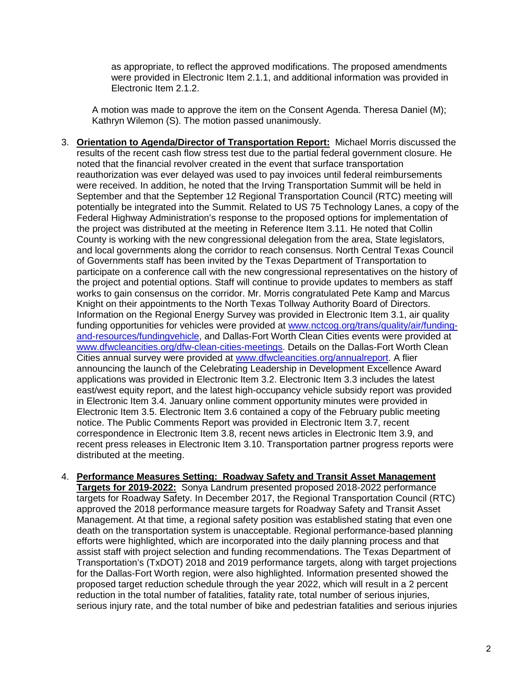as appropriate, to reflect the approved modifications. The proposed amendments were provided in Electronic Item 2.1.1, and additional information was provided in Electronic Item 2.1.2.

A motion was made to approve the item on the Consent Agenda. Theresa Daniel (M); Kathryn Wilemon (S). The motion passed unanimously.

- 3. **Orientation to Agenda/Director of Transportation Report:** Michael Morris discussed the results of the recent cash flow stress test due to the partial federal government closure. He noted that the financial revolver created in the event that surface transportation reauthorization was ever delayed was used to pay invoices until federal reimbursements were received. In addition, he noted that the Irving Transportation Summit will be held in September and that the September 12 Regional Transportation Council (RTC) meeting will potentially be integrated into the Summit. Related to US 75 Technology Lanes, a copy of the Federal Highway Administration's response to the proposed options for implementation of the project was distributed at the meeting in Reference Item 3.11. He noted that Collin County is working with the new congressional delegation from the area, State legislators, and local governments along the corridor to reach consensus. North Central Texas Council of Governments staff has been invited by the Texas Department of Transportation to participate on a conference call with the new congressional representatives on the history of the project and potential options. Staff will continue to provide updates to members as staff works to gain consensus on the corridor. Mr. Morris congratulated Pete Kamp and Marcus Knight on their appointments to the North Texas Tollway Authority Board of Directors. Information on the Regional Energy Survey was provided in Electronic Item 3.1, air quality funding opportunities for vehicles were provided at [www.nctcog.org/trans/quality/air/funding](http://www.nctcog.org/trans/quality/air/funding-and-resources/fundingvehicle)[and-resources/fundingvehicle,](http://www.nctcog.org/trans/quality/air/funding-and-resources/fundingvehicle) and Dallas-Fort Worth Clean Cities events were provided at [www.dfwcleancities.org/dfw-clean-cities-meetings.](http://www.dfwcleancities.org/dfw-clean-cities-meetings) Details on the Dallas-Fort Worth Clean Cities annual survey were provided at [www.dfwcleancities.org/annualreport.](http://www.dfwcleancities.org/annualreport) A flier announcing the launch of the Celebrating Leadership in Development Excellence Award applications was provided in Electronic Item 3.2. Electronic Item 3.3 includes the latest east/west equity report, and the latest high-occupancy vehicle subsidy report was provided in Electronic Item 3.4. January online comment opportunity minutes were provided in Electronic Item 3.5. Electronic Item 3.6 contained a copy of the February public meeting notice. The Public Comments Report was provided in Electronic Item 3.7, recent correspondence in Electronic Item 3.8, recent news articles in Electronic Item 3.9, and recent press releases in Electronic Item 3.10. Transportation partner progress reports were distributed at the meeting.
- 4. **Performance Measures Setting: Roadway Safety and Transit Asset Management Targets for 2019-2022:** Sonya Landrum presented proposed 2018-2022 performance targets for Roadway Safety. In December 2017, the Regional Transportation Council (RTC) approved the 2018 performance measure targets for Roadway Safety and Transit Asset Management. At that time, a regional safety position was established stating that even one death on the transportation system is unacceptable. Regional performance-based planning efforts were highlighted, which are incorporated into the daily planning process and that assist staff with project selection and funding recommendations. The Texas Department of Transportation's (TxDOT) 2018 and 2019 performance targets, along with target projections for the Dallas-Fort Worth region, were also highlighted. Information presented showed the proposed target reduction schedule through the year 2022, which will result in a 2 percent reduction in the total number of fatalities, fatality rate, total number of serious injuries, serious injury rate, and the total number of bike and pedestrian fatalities and serious injuries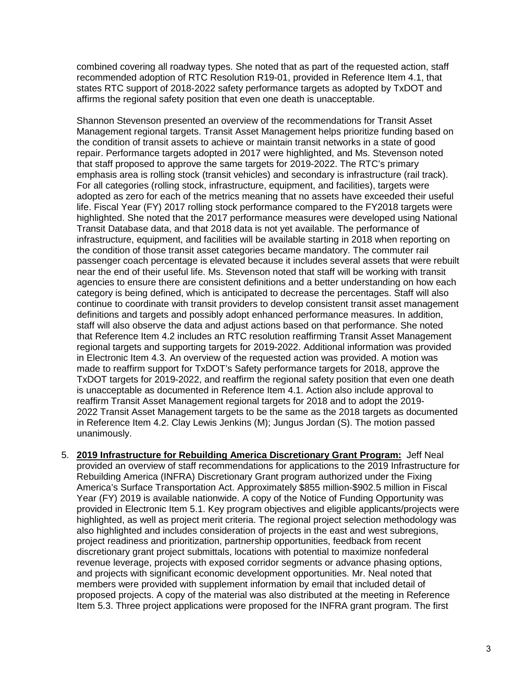combined covering all roadway types. She noted that as part of the requested action, staff recommended adoption of RTC Resolution R19-01, provided in Reference Item 4.1, that states RTC support of 2018-2022 safety performance targets as adopted by TxDOT and affirms the regional safety position that even one death is unacceptable.

Shannon Stevenson presented an overview of the recommendations for Transit Asset Management regional targets. Transit Asset Management helps prioritize funding based on the condition of transit assets to achieve or maintain transit networks in a state of good repair. Performance targets adopted in 2017 were highlighted, and Ms. Stevenson noted that staff proposed to approve the same targets for 2019-2022. The RTC's primary emphasis area is rolling stock (transit vehicles) and secondary is infrastructure (rail track). For all categories (rolling stock, infrastructure, equipment, and facilities), targets were adopted as zero for each of the metrics meaning that no assets have exceeded their useful life. Fiscal Year (FY) 2017 rolling stock performance compared to the FY2018 targets were highlighted. She noted that the 2017 performance measures were developed using National Transit Database data, and that 2018 data is not yet available. The performance of infrastructure, equipment, and facilities will be available starting in 2018 when reporting on the condition of those transit asset categories became mandatory. The commuter rail passenger coach percentage is elevated because it includes several assets that were rebuilt near the end of their useful life. Ms. Stevenson noted that staff will be working with transit agencies to ensure there are consistent definitions and a better understanding on how each category is being defined, which is anticipated to decrease the percentages. Staff will also continue to coordinate with transit providers to develop consistent transit asset management definitions and targets and possibly adopt enhanced performance measures. In addition, staff will also observe the data and adjust actions based on that performance. She noted that Reference Item 4.2 includes an RTC resolution reaffirming Transit Asset Management regional targets and supporting targets for 2019-2022. Additional information was provided in Electronic Item 4.3. An overview of the requested action was provided. A motion was made to reaffirm support for TxDOT's Safety performance targets for 2018, approve the TxDOT targets for 2019-2022, and reaffirm the regional safety position that even one death is unacceptable as documented in Reference Item 4.1. Action also include approval to reaffirm Transit Asset Management regional targets for 2018 and to adopt the 2019- 2022 Transit Asset Management targets to be the same as the 2018 targets as documented in Reference Item 4.2. Clay Lewis Jenkins (M); Jungus Jordan (S). The motion passed unanimously.

5. **2019 Infrastructure for Rebuilding America Discretionary Grant Program:** Jeff Neal provided an overview of staff recommendations for applications to the 2019 Infrastructure for Rebuilding America (INFRA) Discretionary Grant program authorized under the Fixing America's Surface Transportation Act. Approximately \$855 million-\$902.5 million in Fiscal Year (FY) 2019 is available nationwide. A copy of the Notice of Funding Opportunity was provided in Electronic Item 5.1. Key program objectives and eligible applicants/projects were highlighted, as well as project merit criteria. The regional project selection methodology was also highlighted and includes consideration of projects in the east and west subregions, project readiness and prioritization, partnership opportunities, feedback from recent discretionary grant project submittals, locations with potential to maximize nonfederal revenue leverage, projects with exposed corridor segments or advance phasing options, and projects with significant economic development opportunities. Mr. Neal noted that members were provided with supplement information by email that included detail of proposed projects. A copy of the material was also distributed at the meeting in Reference Item 5.3. Three project applications were proposed for the INFRA grant program. The first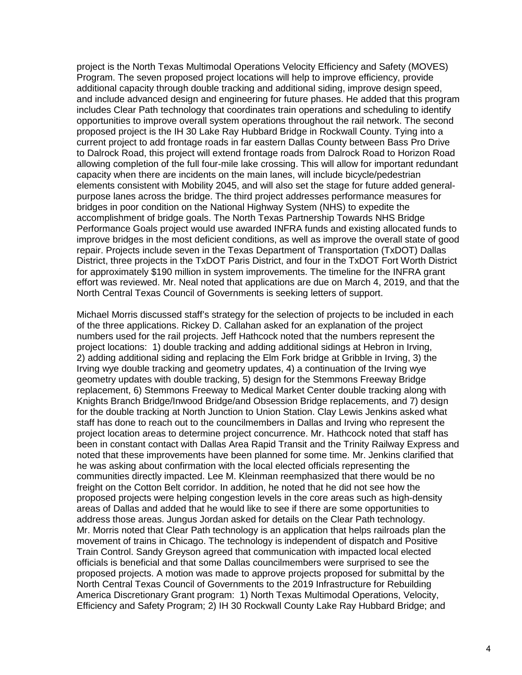project is the North Texas Multimodal Operations Velocity Efficiency and Safety (MOVES) Program. The seven proposed project locations will help to improve efficiency, provide additional capacity through double tracking and additional siding, improve design speed, and include advanced design and engineering for future phases. He added that this program includes Clear Path technology that coordinates train operations and scheduling to identify opportunities to improve overall system operations throughout the rail network. The second proposed project is the IH 30 Lake Ray Hubbard Bridge in Rockwall County. Tying into a current project to add frontage roads in far eastern Dallas County between Bass Pro Drive to Dalrock Road, this project will extend frontage roads from Dalrock Road to Horizon Road allowing completion of the full four-mile lake crossing. This will allow for important redundant capacity when there are incidents on the main lanes, will include bicycle/pedestrian elements consistent with Mobility 2045, and will also set the stage for future added generalpurpose lanes across the bridge. The third project addresses performance measures for bridges in poor condition on the National Highway System (NHS) to expedite the accomplishment of bridge goals. The North Texas Partnership Towards NHS Bridge Performance Goals project would use awarded INFRA funds and existing allocated funds to improve bridges in the most deficient conditions, as well as improve the overall state of good repair. Projects include seven in the Texas Department of Transportation (TxDOT) Dallas District, three projects in the TxDOT Paris District, and four in the TxDOT Fort Worth District for approximately \$190 million in system improvements. The timeline for the INFRA grant effort was reviewed. Mr. Neal noted that applications are due on March 4, 2019, and that the North Central Texas Council of Governments is seeking letters of support.

Michael Morris discussed staff's strategy for the selection of projects to be included in each of the three applications. Rickey D. Callahan asked for an explanation of the project numbers used for the rail projects. Jeff Hathcock noted that the numbers represent the project locations: 1) double tracking and adding additional sidings at Hebron in Irving, 2) adding additional siding and replacing the Elm Fork bridge at Gribble in Irving, 3) the Irving wye double tracking and geometry updates, 4) a continuation of the Irving wye geometry updates with double tracking, 5) design for the Stemmons Freeway Bridge replacement, 6) Stemmons Freeway to Medical Market Center double tracking along with Knights Branch Bridge/Inwood Bridge/and Obsession Bridge replacements, and 7) design for the double tracking at North Junction to Union Station. Clay Lewis Jenkins asked what staff has done to reach out to the councilmembers in Dallas and Irving who represent the project location areas to determine project concurrence. Mr. Hathcock noted that staff has been in constant contact with Dallas Area Rapid Transit and the Trinity Railway Express and noted that these improvements have been planned for some time. Mr. Jenkins clarified that he was asking about confirmation with the local elected officials representing the communities directly impacted. Lee M. Kleinman reemphasized that there would be no freight on the Cotton Belt corridor. In addition, he noted that he did not see how the proposed projects were helping congestion levels in the core areas such as high-density areas of Dallas and added that he would like to see if there are some opportunities to address those areas. Jungus Jordan asked for details on the Clear Path technology. Mr. Morris noted that Clear Path technology is an application that helps railroads plan the movement of trains in Chicago. The technology is independent of dispatch and Positive Train Control. Sandy Greyson agreed that communication with impacted local elected officials is beneficial and that some Dallas councilmembers were surprised to see the proposed projects. A motion was made to approve projects proposed for submittal by the North Central Texas Council of Governments to the 2019 Infrastructure for Rebuilding America Discretionary Grant program: 1) North Texas Multimodal Operations, Velocity, Efficiency and Safety Program; 2) IH 30 Rockwall County Lake Ray Hubbard Bridge; and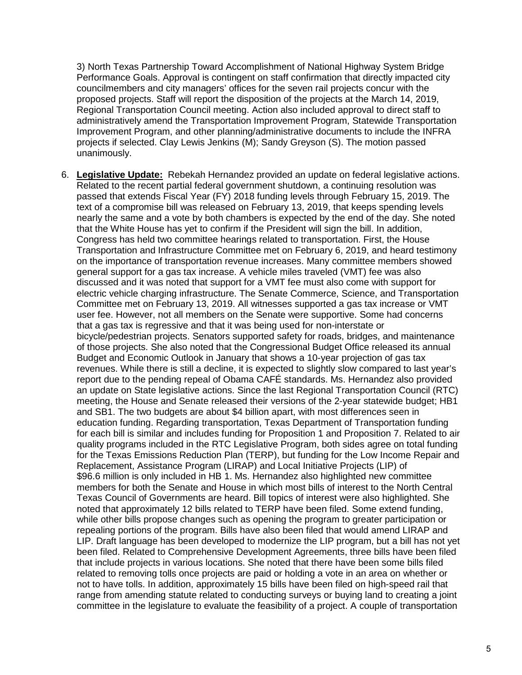3) North Texas Partnership Toward Accomplishment of National Highway System Bridge Performance Goals. Approval is contingent on staff confirmation that directly impacted city councilmembers and city managers' offices for the seven rail projects concur with the proposed projects. Staff will report the disposition of the projects at the March 14, 2019, Regional Transportation Council meeting. Action also included approval to direct staff to administratively amend the Transportation Improvement Program, Statewide Transportation Improvement Program, and other planning/administrative documents to include the INFRA projects if selected. Clay Lewis Jenkins (M); Sandy Greyson (S). The motion passed unanimously.

6. **Legislative Update:** Rebekah Hernandez provided an update on federal legislative actions. Related to the recent partial federal government shutdown, a continuing resolution was passed that extends Fiscal Year (FY) 2018 funding levels through February 15, 2019. The text of a compromise bill was released on February 13, 2019, that keeps spending levels nearly the same and a vote by both chambers is expected by the end of the day. She noted that the White House has yet to confirm if the President will sign the bill. In addition, Congress has held two committee hearings related to transportation. First, the House Transportation and Infrastructure Committee met on February 6, 2019, and heard testimony on the importance of transportation revenue increases. Many committee members showed general support for a gas tax increase. A vehicle miles traveled (VMT) fee was also discussed and it was noted that support for a VMT fee must also come with support for electric vehicle charging infrastructure. The Senate Commerce, Science, and Transportation Committee met on February 13, 2019. All witnesses supported a gas tax increase or VMT user fee. However, not all members on the Senate were supportive. Some had concerns that a gas tax is regressive and that it was being used for non-interstate or bicycle/pedestrian projects. Senators supported safety for roads, bridges, and maintenance of those projects. She also noted that the Congressional Budget Office released its annual Budget and Economic Outlook in January that shows a 10-year projection of gas tax revenues. While there is still a decline, it is expected to slightly slow compared to last year's report due to the pending repeal of Obama CAFÉ standards. Ms. Hernandez also provided an update on State legislative actions. Since the last Regional Transportation Council (RTC) meeting, the House and Senate released their versions of the 2-year statewide budget; HB1 and SB1. The two budgets are about \$4 billion apart, with most differences seen in education funding. Regarding transportation, Texas Department of Transportation funding for each bill is similar and includes funding for Proposition 1 and Proposition 7. Related to air quality programs included in the RTC Legislative Program, both sides agree on total funding for the Texas Emissions Reduction Plan (TERP), but funding for the Low Income Repair and Replacement, Assistance Program (LIRAP) and Local Initiative Projects (LIP) of \$96.6 million is only included in HB 1. Ms. Hernandez also highlighted new committee members for both the Senate and House in which most bills of interest to the North Central Texas Council of Governments are heard. Bill topics of interest were also highlighted. She noted that approximately 12 bills related to TERP have been filed. Some extend funding, while other bills propose changes such as opening the program to greater participation or repealing portions of the program. Bills have also been filed that would amend LIRAP and LIP. Draft language has been developed to modernize the LIP program, but a bill has not yet been filed. Related to Comprehensive Development Agreements, three bills have been filed that include projects in various locations. She noted that there have been some bills filed related to removing tolls once projects are paid or holding a vote in an area on whether or not to have tolls. In addition, approximately 15 bills have been filed on high-speed rail that range from amending statute related to conducting surveys or buying land to creating a joint committee in the legislature to evaluate the feasibility of a project. A couple of transportation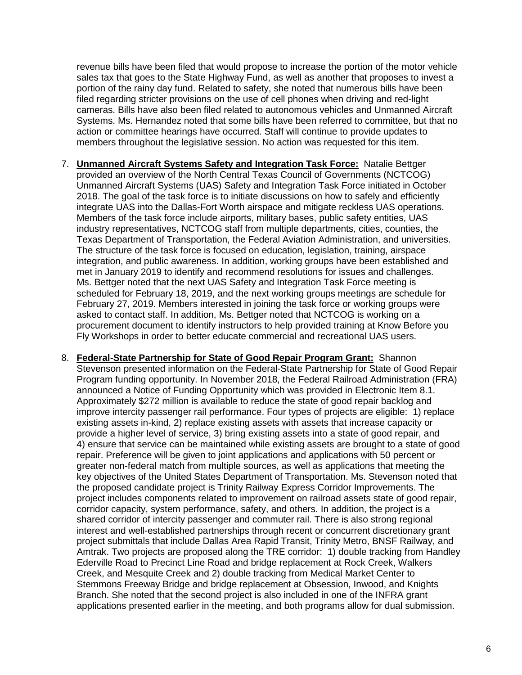revenue bills have been filed that would propose to increase the portion of the motor vehicle sales tax that goes to the State Highway Fund, as well as another that proposes to invest a portion of the rainy day fund. Related to safety, she noted that numerous bills have been filed regarding stricter provisions on the use of cell phones when driving and red-light cameras. Bills have also been filed related to autonomous vehicles and Unmanned Aircraft Systems. Ms. Hernandez noted that some bills have been referred to committee, but that no action or committee hearings have occurred. Staff will continue to provide updates to members throughout the legislative session. No action was requested for this item.

- 7. **Unmanned Aircraft Systems Safety and Integration Task Force:** Natalie Bettger provided an overview of the North Central Texas Council of Governments (NCTCOG) Unmanned Aircraft Systems (UAS) Safety and Integration Task Force initiated in October 2018. The goal of the task force is to initiate discussions on how to safely and efficiently integrate UAS into the Dallas-Fort Worth airspace and mitigate reckless UAS operations. Members of the task force include airports, military bases, public safety entities, UAS industry representatives, NCTCOG staff from multiple departments, cities, counties, the Texas Department of Transportation, the Federal Aviation Administration, and universities. The structure of the task force is focused on education, legislation, training, airspace integration, and public awareness. In addition, working groups have been established and met in January 2019 to identify and recommend resolutions for issues and challenges. Ms. Bettger noted that the next UAS Safety and Integration Task Force meeting is scheduled for February 18, 2019, and the next working groups meetings are schedule for February 27, 2019. Members interested in joining the task force or working groups were asked to contact staff. In addition, Ms. Bettger noted that NCTCOG is working on a procurement document to identify instructors to help provided training at Know Before you Fly Workshops in order to better educate commercial and recreational UAS users.
- 8. **Federal-State Partnership for State of Good Repair Program Grant:** Shannon Stevenson presented information on the Federal-State Partnership for State of Good Repair Program funding opportunity. In November 2018, the Federal Railroad Administration (FRA) announced a Notice of Funding Opportunity which was provided in Electronic Item 8.1. Approximately \$272 million is available to reduce the state of good repair backlog and improve intercity passenger rail performance. Four types of projects are eligible: 1) replace existing assets in-kind, 2) replace existing assets with assets that increase capacity or provide a higher level of service, 3) bring existing assets into a state of good repair, and 4) ensure that service can be maintained while existing assets are brought to a state of good repair. Preference will be given to joint applications and applications with 50 percent or greater non-federal match from multiple sources, as well as applications that meeting the key objectives of the United States Department of Transportation. Ms. Stevenson noted that the proposed candidate project is Trinity Railway Express Corridor Improvements. The project includes components related to improvement on railroad assets state of good repair, corridor capacity, system performance, safety, and others. In addition, the project is a shared corridor of intercity passenger and commuter rail. There is also strong regional interest and well-established partnerships through recent or concurrent discretionary grant project submittals that include Dallas Area Rapid Transit, Trinity Metro, BNSF Railway, and Amtrak. Two projects are proposed along the TRE corridor: 1) double tracking from Handley Ederville Road to Precinct Line Road and bridge replacement at Rock Creek, Walkers Creek, and Mesquite Creek and 2) double tracking from Medical Market Center to Stemmons Freeway Bridge and bridge replacement at Obsession, Inwood, and Knights Branch. She noted that the second project is also included in one of the INFRA grant applications presented earlier in the meeting, and both programs allow for dual submission.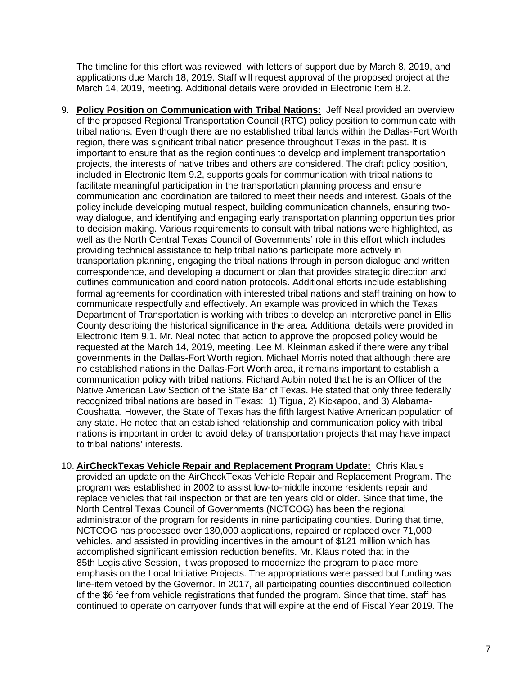The timeline for this effort was reviewed, with letters of support due by March 8, 2019, and applications due March 18, 2019. Staff will request approval of the proposed project at the March 14, 2019, meeting. Additional details were provided in Electronic Item 8.2.

9. **Policy Position on Communication with Tribal Nations:** Jeff Neal provided an overview of the proposed Regional Transportation Council (RTC) policy position to communicate with tribal nations. Even though there are no established tribal lands within the Dallas-Fort Worth region, there was significant tribal nation presence throughout Texas in the past. It is important to ensure that as the region continues to develop and implement transportation projects, the interests of native tribes and others are considered. The draft policy position, included in Electronic Item 9.2, supports goals for communication with tribal nations to facilitate meaningful participation in the transportation planning process and ensure communication and coordination are tailored to meet their needs and interest. Goals of the policy include developing mutual respect, building communication channels, ensuring twoway dialogue, and identifying and engaging early transportation planning opportunities prior to decision making. Various requirements to consult with tribal nations were highlighted, as well as the North Central Texas Council of Governments' role in this effort which includes providing technical assistance to help tribal nations participate more actively in transportation planning, engaging the tribal nations through in person dialogue and written correspondence, and developing a document or plan that provides strategic direction and outlines communication and coordination protocols. Additional efforts include establishing formal agreements for coordination with interested tribal nations and staff training on how to communicate respectfully and effectively. An example was provided in which the Texas Department of Transportation is working with tribes to develop an interpretive panel in Ellis County describing the historical significance in the area. Additional details were provided in Electronic Item 9.1. Mr. Neal noted that action to approve the proposed policy would be requested at the March 14, 2019, meeting. Lee M. Kleinman asked if there were any tribal governments in the Dallas-Fort Worth region. Michael Morris noted that although there are no established nations in the Dallas-Fort Worth area, it remains important to establish a communication policy with tribal nations. Richard Aubin noted that he is an Officer of the Native American Law Section of the State Bar of Texas. He stated that only three federally recognized tribal nations are based in Texas: 1) Tigua, 2) Kickapoo, and 3) Alabama-Coushatta. However, the State of Texas has the fifth largest Native American population of any state. He noted that an established relationship and communication policy with tribal nations is important in order to avoid delay of transportation projects that may have impact to tribal nations' interests.

10. **AirCheckTexas Vehicle Repair and Replacement Program Update:** Chris Klaus provided an update on the AirCheckTexas Vehicle Repair and Replacement Program. The program was established in 2002 to assist low-to-middle income residents repair and replace vehicles that fail inspection or that are ten years old or older. Since that time, the North Central Texas Council of Governments (NCTCOG) has been the regional administrator of the program for residents in nine participating counties. During that time, NCTCOG has processed over 130,000 applications, repaired or replaced over 71,000 vehicles, and assisted in providing incentives in the amount of \$121 million which has accomplished significant emission reduction benefits. Mr. Klaus noted that in the 85th Legislative Session, it was proposed to modernize the program to place more emphasis on the Local Initiative Projects. The appropriations were passed but funding was line-item vetoed by the Governor. In 2017, all participating counties discontinued collection of the \$6 fee from vehicle registrations that funded the program. Since that time, staff has continued to operate on carryover funds that will expire at the end of Fiscal Year 2019. The